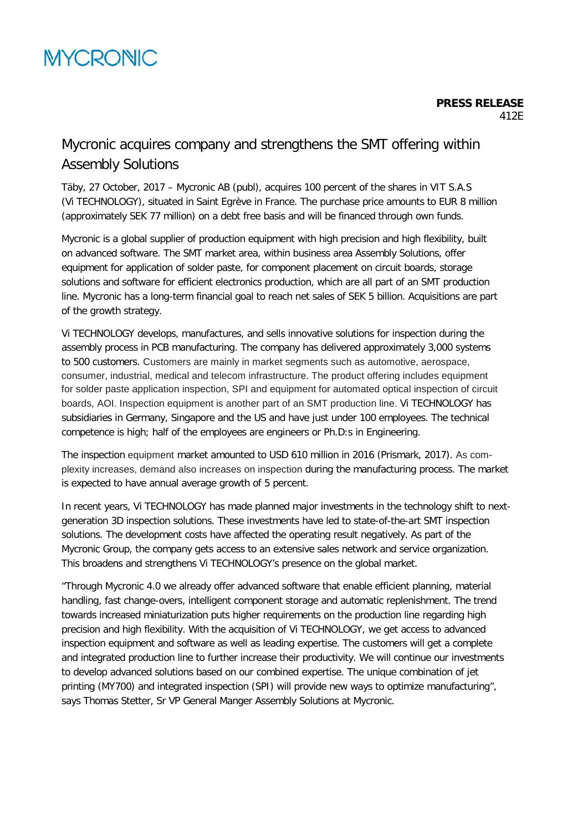## Mycronic acquires company and strengthens the SMT offering within Assembly Solutions

Täby, 27 October, 2017 – Mycronic AB (publ), acquires 100 percent of the shares in VIT S.A.S (Vi TECHNOLOGY), situated in Saint Egrève in France. The purchase price amounts to EUR 8 million (approximately SEK 77 million) on a debt free basis and will be financed through own funds.

Mycronic is a global supplier of production equipment with high precision and high flexibility, built on advanced software. The SMT market area, within business area Assembly Solutions, offer equipment for application of solder paste, for component placement on circuit boards, storage solutions and software for efficient electronics production, which are all part of an SMT production line. Mycronic has a long-term financial goal to reach net sales of SEK 5 billion. Acquisitions are part of the growth strategy.

Vi TECHNOLOGY develops, manufactures, and sells innovative solutions for inspection during the assembly process in PCB manufacturing. The company has delivered approximately 3,000 systems to 500 customers. Customers are mainly in market segments such as automotive, aerospace, consumer, industrial, medical and telecom infrastructure. The product offering includes equipment for solder paste application inspection, SPI and equipment for automated optical inspection of circuit boards, AOI. Inspection equipment is another part of an SMT production line. Vi TECHNOLOGY has subsidiaries in Germany, Singapore and the US and have just under 100 employees. The technical competence is high; half of the employees are engineers or Ph.D:s in Engineering.

The inspection equipment market amounted to USD 610 million in 2016 (Prismark, 2017). As complexity increases, demand also increases on inspection during the manufacturing process. The market is expected to have annual average growth of 5 percent.

In recent years, Vi TECHNOLOGY has made planned major investments in the technology shift to nextgeneration 3D inspection solutions. These investments have led to state-of-the-art SMT inspection solutions. The development costs have affected the operating result negatively. As part of the Mycronic Group, the company gets access to an extensive sales network and service organization. This broadens and strengthens Vi TECHNOLOGY's presence on the global market.

"Through Mycronic 4.0 we already offer advanced software that enable efficient planning, material handling, fast change-overs, intelligent component storage and automatic replenishment. The trend towards increased miniaturization puts higher requirements on the production line regarding high precision and high flexibility. With the acquisition of Vi TECHNOLOGY, we get access to advanced inspection equipment and software as well as leading expertise. The customers will get a complete and integrated production line to further increase their productivity. We will continue our investments to develop advanced solutions based on our combined expertise. The unique combination of jet printing (MY700) and integrated inspection (SPI) will provide new ways to optimize manufacturing", says Thomas Stetter, Sr VP General Manger Assembly Solutions at Mycronic.